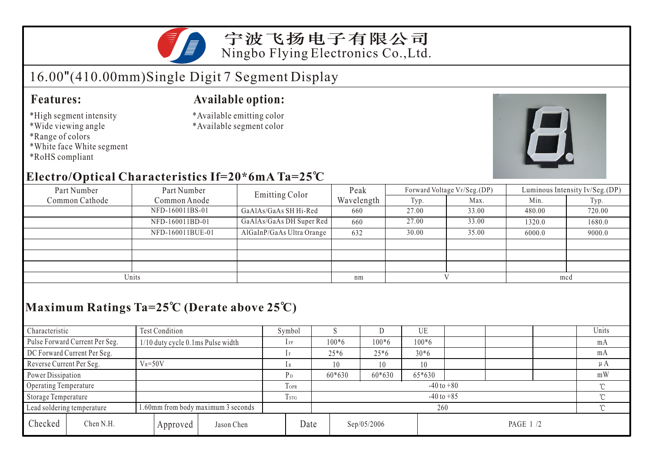

# 16.00"(410.00mm)Single Digit 7 Segment Display

### **Features:**

- \*High segment intensity
- \*Wide viewing angle
- \*Range of colors
- \*White face White segment
- \*RoHS compliant

#### **Available option:**

- \*Available emitting color
- \*Available segment color



### **Electro/Optical Characteristics If=20\*6mA Ta=25 C**

| Part Number    | Part Number      | <b>Emitting Color</b>     | Peak       |       | Forward Voltage VF/Seg.(DP) | Luminous Intensity Iv/Seg.(DP) |        |  |
|----------------|------------------|---------------------------|------------|-------|-----------------------------|--------------------------------|--------|--|
| Common Cathode | Common Anode     |                           | Wavelength | Typ.  | Max.                        | Min.                           | Typ.   |  |
|                | NFD-160011BS-01  | GaAlAs/GaAs SH Hi-Red     | 660        | 27.00 | 33.00                       | 480.00                         | 720.00 |  |
|                | NFD-160011BD-01  | GaAlAs/GaAs DH Super Red  | 660        | 27.00 | 33.00                       | 1320.0                         | 1680.0 |  |
|                | NFD-160011BUE-01 | AlGaInP/GaAs Ultra Orange | 632        | 30.00 | 35.00                       | 6000.0                         | 9000.0 |  |
|                |                  |                           |            |       |                             |                                |        |  |
|                |                  |                           |            |       |                             |                                |        |  |
|                |                  |                           |            |       |                             |                                |        |  |
| Units          |                  |                           | nm         |       |                             | mcd                            |        |  |

## **Maximum Ratings Ta=25 C (Derate above 25 C)**

| Characteristic           |                                | Test Condition                     |                | Symbol         |                |                                        |          | UE      |         |  |  | Units   |    |
|--------------------------|--------------------------------|------------------------------------|----------------|----------------|----------------|----------------------------------------|----------|---------|---------|--|--|---------|----|
|                          | Pulse Forward Current Per Seg. | 1/10 duty cycle 0.1ms Pulse width  |                |                | $1$ FP         | $100*6$                                |          | $100*6$ | $100*6$ |  |  |         | mA |
|                          | DC Forward Current Per Seg.    |                                    |                |                | $25*6$         |                                        | $25*6$   | $30*6$  |         |  |  | mA      |    |
| Reverse Current Per Seg. |                                | $V_R = 50V$                        |                |                | 10             |                                        | 10       | 10      |         |  |  | $\mu A$ |    |
| Power Dissipation        |                                |                                    |                | P <sub>D</sub> | $60*630$       |                                        | $60*630$ | 65*630  |         |  |  | mW      |    |
| Operating Temperature    |                                |                                    |                | TOPR           | $-40$ to $+80$ |                                        |          |         |         |  |  |         |    |
| Storage Temperature      |                                | Tstg                               | $-40$ to $+85$ |                |                |                                        |          | $\sim$  |         |  |  |         |    |
|                          | Lead soldering temperature     | 1.60mm from body maximum 3 seconds |                |                |                | 260                                    |          |         |         |  |  |         |    |
| Checked                  | Chen N.H.                      |                                    | Approved       | Jason Chen     |                | Date<br>Sep/05/2006<br><b>PAGE 1/2</b> |          |         |         |  |  |         |    |